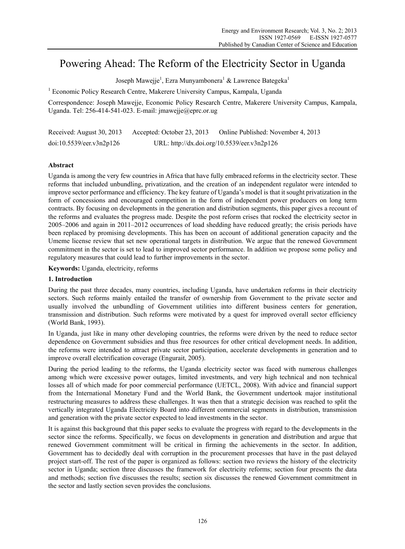# Powering Ahead: The Reform of the Electricity Sector in Uganda

Joseph Mawejje $^1$ , Ezra Munyambonera $^1$  & Lawrence Bategeka $^1$ 

<sup>1</sup> Economic Policy Research Centre, Makerere University Campus, Kampala, Uganda

Correspondence: Joseph Mawejje, Economic Policy Research Centre, Makerere University Campus, Kampala, Uganda. Tel: 256-414-541-023. E-mail: jmawejje@eprc.or.ug

| Received: August 30, 2013 | Accepted: October 23, 2013 | Online Published: November 4, 2013          |
|---------------------------|----------------------------|---------------------------------------------|
| doi:10.5539/eer.v3n2p126  |                            | URL: http://dx.doi.org/10.5539/eer.v3n2p126 |

# **Abstract**

Uganda is among the very few countries in Africa that have fully embraced reforms in the electricity sector. These reforms that included unbundling, privatization, and the creation of an independent regulator were intended to improve sector performance and efficiency. The key feature of Uganda's model is that it sought privatization in the form of concessions and encouraged competition in the form of independent power producers on long term contracts. By focusing on developments in the generation and distribution segments, this paper gives a recount of the reforms and evaluates the progress made. Despite the post reform crises that rocked the electricity sector in 2005–2006 and again in 2011–2012 occurrences of load shedding have reduced greatly; the crisis periods have been replaced by promising developments. This has been on account of additional generation capacity and the Umeme license review that set new operational targets in distribution. We argue that the renewed Government commitment in the sector is set to lead to improved sector performance. In addition we propose some policy and regulatory measures that could lead to further improvements in the sector.

**Keywords:** Uganda, electricity, reforms

# **1. Introduction**

During the past three decades, many countries, including Uganda, have undertaken reforms in their electricity sectors. Such reforms mainly entailed the transfer of ownership from Government to the private sector and usually involved the unbundling of Government utilities into different business centers for generation, transmission and distribution. Such reforms were motivated by a quest for improved overall sector efficiency (World Bank, 1993).

In Uganda, just like in many other developing countries, the reforms were driven by the need to reduce sector dependence on Government subsidies and thus free resources for other critical development needs. In addition, the reforms were intended to attract private sector participation, accelerate developments in generation and to improve overall electrification coverage (Engurait, 2005).

During the period leading to the reforms, the Uganda electricity sector was faced with numerous challenges among which were excessive power outages, limited investments, and very high technical and non technical losses all of which made for poor commercial performance (UETCL, 2008). With advice and financial support from the International Monetary Fund and the World Bank, the Government undertook major institutional restructuring measures to address these challenges. It was then that a strategic decision was reached to split the vertically integrated Uganda Electricity Board into different commercial segments in distribution, transmission and generation with the private sector expected to lead investments in the sector.

It is against this background that this paper seeks to evaluate the progress with regard to the developments in the sector since the reforms. Specifically, we focus on developments in generation and distribution and argue that renewed Government commitment will be critical in firming the achievements in the sector. In addition, Government has to decidedly deal with corruption in the procurement processes that have in the past delayed project start-off. The rest of the paper is organized as follows: section two reviews the history of the electricity sector in Uganda; section three discusses the framework for electricity reforms; section four presents the data and methods; section five discusses the results; section six discusses the renewed Government commitment in the sector and lastly section seven provides the conclusions.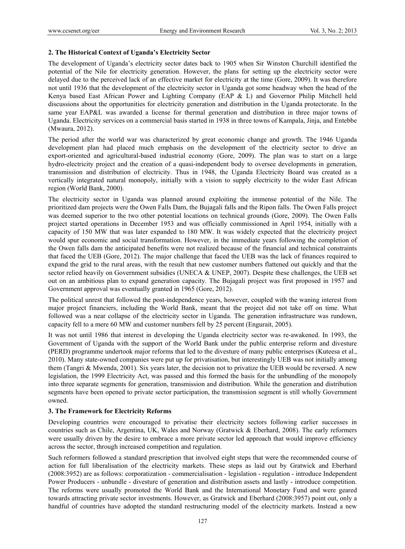# **2. The Historical Context of Uganda's Electricity Sector**

The development of Uganda's electricity sector dates back to 1905 when Sir Winston Churchill identified the potential of the Nile for electricity generation. However, the plans for setting up the electricity sector were delayed due to the perceived lack of an effective market for electricity at the time (Gore, 2009). It was therefore not until 1936 that the development of the electricity sector in Uganda got some headway when the head of the Kenya based East African Power and Lighting Company (EAP & L) and Governor Philip Mitchell held discussions about the opportunities for electricity generation and distribution in the Uganda protectorate. In the same year EAP&L was awarded a license for thermal generation and distribution in three major towns of Uganda. Electricity services on a commercial basis started in 1938 in three towns of Kampala, Jinja, and Entebbe (Mwaura, 2012).

The period after the world war was characterized by great economic change and growth. The 1946 Uganda development plan had placed much emphasis on the development of the electricity sector to drive an export-oriented and agricultural-based industrial economy (Gore, 2009). The plan was to start on a large hydro-electricity project and the creation of a quasi-independent body to oversee developments in generation, transmission and distribution of electricity. Thus in 1948, the Uganda Electricity Board was created as a vertically integrated natural monopoly, initially with a vision to supply electricity to the wider East African region (World Bank, 2000).

The electricity sector in Uganda was planned around exploiting the immense potential of the Nile. The prioritized dam projects were the Owen Falls Dam, the Bujagali falls and the Ripon falls. The Owen Falls project was deemed superior to the two other potential locations on technical grounds (Gore, 2009). The Owen Falls project started operations in December 1953 and was officially commissioned in April 1954, initially with a capacity of 150 MW that was later expanded to 180 MW. It was widely expected that the electricity project would spur economic and social transformation. However, in the immediate years following the completion of the Owen falls dam the anticipated benefits were not realized because of the financial and technical constraints that faced the UEB (Gore, 2012). The major challenge that faced the UEB was the lack of finances required to expand the grid to the rural areas, with the result that new customer numbers flattened out quickly and that the sector relied heavily on Government subsidies (UNECA & UNEP, 2007). Despite these challenges, the UEB set out on an ambitious plan to expand generation capacity. The Bujagali project was first proposed in 1957 and Government approval was eventually granted in 1965 (Gore, 2012).

The political unrest that followed the post-independence years, however, coupled with the waning interest from major project financiers, including the World Bank, meant that the project did not take off on time. What followed was a near collapse of the electricity sector in Uganda. The generation infrastructure was rundown, capacity fell to a mere 60 MW and customer numbers fell by 25 percent (Engurait, 2005).

It was not until 1986 that interest in developing the Uganda electricity sector was re-awakened. In 1993, the Government of Uganda with the support of the World Bank under the public enterprise reform and divesture (PERD) programme undertook major reforms that led to the divesture of many public enterprises (Kuteesa et al., 2010). Many state-owned companies were put up for privatisation, but interestingly UEB was not initially among them (Tangri & Mwenda, 2001). Six years later, the decision not to privatize the UEB would be reversed. A new legislation, the 1999 Electricity Act, was passed and this formed the basis for the unbundling of the monopoly into three separate segments for generation, transmission and distribution. While the generation and distribution segments have been opened to private sector participation, the transmission segment is still wholly Government owned.

# **3. The Framework for Electricity Reforms**

Developing countries were encouraged to privatise their electricity sectors following earlier successes in countries such as Chile, Argentina, UK, Wales and Norway (Gratwick & Eberhard, 2008). The early reformers were usually driven by the desire to embrace a more private sector led approach that would improve efficiency across the sector, through increased competition and regulation.

Such reformers followed a standard prescription that involved eight steps that were the recommended course of action for full liberalisation of the electricity markets. These steps as laid out by Gratwick and Eberhard (2008:3952) are as follows: corporatization - commercialisation - legislation - regulation - introduce Independent Power Producers - unbundle - divesture of generation and distribution assets and lastly - introduce competition. The reforms were usually promoted the World Bank and the International Monetary Fund and were geared towards attracting private sector investments. However, as Gratwick and Eberhard (2008:3957) point out, only a handful of countries have adopted the standard restructuring model of the electricity markets. Instead a new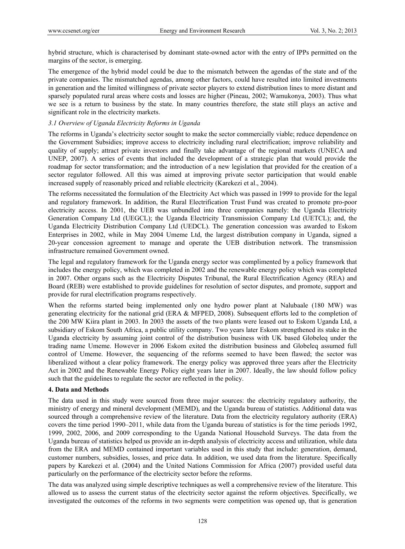hybrid structure, which is characterised by dominant state-owned actor with the entry of IPPs permitted on the margins of the sector, is emerging.

The emergence of the hybrid model could be due to the mismatch between the agendas of the state and of the private companies. The mismatched agendas, among other factors, could have resulted into limited investments in generation and the limited willingness of private sector players to extend distribution lines to more distant and sparsely populated rural areas where costs and losses are higher (Pineau, 2002; Wamukonya, 2003). Thus what we see is a return to business by the state. In many countries therefore, the state still plays an active and significant role in the electricity markets.

# *3.1 Overview of Uganda Electricity Reforms in Uganda*

The reforms in Uganda's electricity sector sought to make the sector commercially viable; reduce dependence on the Government Subsidies; improve access to electricity including rural electrification; improve reliability and quality of supply; attract private investors and finally take advantage of the regional markets (UNECA and UNEP, 2007). A series of events that included the development of a strategic plan that would provide the roadmap for sector transformation; and the introduction of a new legislation that provided for the creation of a sector regulator followed. All this was aimed at improving private sector participation that would enable increased supply of reasonably priced and reliable electricity (Karekezi et al., 2004).

The reforms necessitated the formulation of the Electricity Act which was passed in 1999 to provide for the legal and regulatory framework. In addition, the Rural Electrification Trust Fund was created to promote pro-poor electricity access. In 2001, the UEB was unbundled into three companies namely: the Uganda Electricity Generation Company Ltd (UEGCL); the Uganda Electricity Transmission Company Ltd (UETCL); and, the Uganda Electricity Distribution Company Ltd (UEDCL). The generation concession was awarded to Eskom Enterprises in 2002, while in May 2004 Umeme Ltd, the largest distribution company in Uganda, signed a 20-year concession agreement to manage and operate the UEB distribution network. The transmission infrastructure remained Government owned.

The legal and regulatory framework for the Uganda energy sector was complimented by a policy framework that includes the energy policy, which was completed in 2002 and the renewable energy policy which was completed in 2007. Other organs such as the Electricity Disputes Tribunal, the Rural Electrification Agency (REA) and Board (REB) were established to provide guidelines for resolution of sector disputes, and promote, support and provide for rural electrification programs respectively.

When the reforms started being implemented only one hydro power plant at Nalubaale (180 MW) was generating electricity for the national grid (ERA & MFPED, 2008). Subsequent efforts led to the completion of the 200 MW Kiira plant in 2003. In 2003 the assets of the two plants were leased out to Eskom Uganda Ltd, a subsidiary of Eskom South Africa, a public utility company. Two years later Eskom strengthened its stake in the Uganda electricity by assuming joint control of the distribution business with UK based Globeleq under the trading name Umeme. However in 2006 Eskom exited the distribution business and Globeleq assumed full control of Umeme. However, the sequencing of the reforms seemed to have been flawed; the sector was liberalized without a clear policy framework. The energy policy was approved three years after the Electricity Act in 2002 and the Renewable Energy Policy eight years later in 2007. Ideally, the law should follow policy such that the guidelines to regulate the sector are reflected in the policy.

# **4. Data and Methods**

The data used in this study were sourced from three major sources: the electricity regulatory authority, the ministry of energy and mineral development (MEMD), and the Uganda bureau of statistics. Additional data was sourced through a comprehensive review of the literature. Data from the electricity regulatory authority (ERA) covers the time period 1990–2011, while data from the Uganda bureau of statistics is for the time periods 1992, 1999, 2002, 2006, and 2009 corresponding to the Uganda National Household Surveys. The data from the Uganda bureau of statistics helped us provide an in-depth analysis of electricity access and utilization, while data from the ERA and MEMD contained important variables used in this study that include: generation, demand, customer numbers, subsidies, losses, and price data. In addition, we used data from the literature. Specifically papers by Karekezi et al. (2004) and the United Nations Commission for Africa (2007) provided useful data particularly on the performance of the electricity sector before the reforms.

The data was analyzed using simple descriptive techniques as well a comprehensive review of the literature. This allowed us to assess the current status of the electricity sector against the reform objectives. Specifically, we investigated the outcomes of the reforms in two segments were competition was opened up, that is generation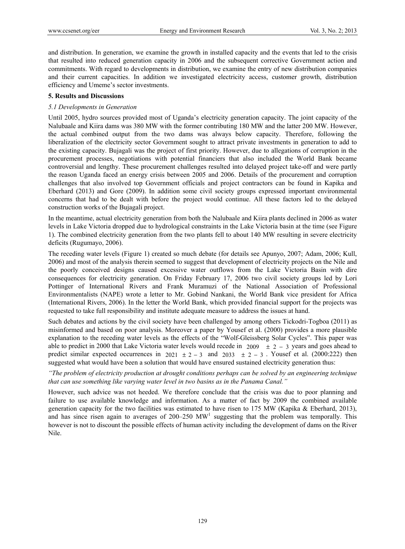and distribution. In generation, we examine the growth in installed capacity and the events that led to the crisis that resulted into reduced generation capacity in 2006 and the subsequent corrective Government action and commitments. With regard to developments in distribution, we examine the entry of new distribution companies and their current capacities. In addition we investigated electricity access, customer growth, distribution efficiency and Umeme's sector investments.

# **5. Results and Discussions**

# *5.1 Developments in Generation*

Until 2005, hydro sources provided most of Uganda's electricity generation capacity. The joint capacity of the Nalubaale and Kiira dams was 380 MW with the former contributing 180 MW and the latter 200 MW. However, the actual combined output from the two dams was always below capacity. Therefore, following the liberalization of the electricity sector Government sought to attract private investments in generation to add to the existing capacity. Bujagali was the project of first priority. However, due to allegations of corruption in the procurement processes, negotiations with potential financiers that also included the World Bank became controversial and lengthy. These procurement challenges resulted into delayed project take-off and were partly the reason Uganda faced an energy crisis between 2005 and 2006. Details of the procurement and corruption challenges that also involved top Government officials and project contractors can be found in Kapika and Eberhard (2013) and Gore (2009). In addition some civil society groups expressed important environmental concerns that had to be dealt with before the project would continue. All these factors led to the delayed construction works of the Bujagali project.

In the meantime, actual electricity generation from both the Nalubaale and Kiira plants declined in 2006 as water levels in Lake Victoria dropped due to hydrological constraints in the Lake Victoria basin at the time (see Figure 1). The combined electricity generation from the two plants fell to about 140 MW resulting in severe electricity deficits (Rugumayo, 2006).

The receding water levels (Figure 1) created so much debate (for details see Apunyo, 2007; Adam, 2006; Kull, 2006) and most of the analysis therein seemed to suggest that development of electricity projects on the Nile and the poorly conceived designs caused excessive water outflows from the Lake Victoria Basin with dire consequences for electricity generation. On Friday February 17, 2006 two civil society groups led by Lori Pottinger of International Rivers and Frank Muramuzi of the National Association of Professional Environmentalists (NAPE) wrote a letter to Mr. Gobind Nankani, the World Bank vice president for Africa (International Rivers, 2006). In the letter the World Bank, which provided financial support for the projects was requested to take full responsibility and institute adequate measure to address the issues at hand.

Such debates and actions by the civil society have been challenged by among others Tickodri-Togboa (2011) as misinformed and based on poor analysis. Moreover a paper by Yousef et al. (2000) provides a more plausible explanation to the receding water levels as the effects of the "Wolf-Gleissberg Solar Cycles". This paper was able to predict in 2000 that Lake Victoria water levels would recede in 2009  $\pm$  2 – 3 years and goes ahead to predict similar expected occurrences in 2021  $\pm 2 - 3$  and 2033  $\pm 2 - 3$ . Yousef et al. (2000:222) then suggested what would have been a solution that would have ensured sustained electricity generation thus:

*"The problem of electricity production at drought conditions perhaps can be solved by an engineering technique that can use something like varying water level in two basins as in the Panama Canal."* 

However, such advice was not heeded. We therefore conclude that the crisis was due to poor planning and failure to use available knowledge and information. As a matter of fact by 2009 the combined available generation capacity for the two facilities was estimated to have risen to 175 MW (Kapika & Eberhard, 2013), and has since risen again to averages of  $200-250$  MW<sup>1</sup> suggesting that the problem was temporally. This however is not to discount the possible effects of human activity including the development of dams on the River Nile.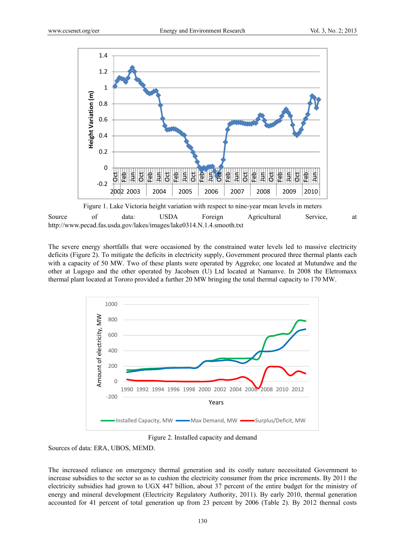

Figure 1. Lake Victoria height variation with respect to nine-year mean levels in meters Source of data: USDA Foreign Agricultural Service, at http://www.pecad.fas.usda.gov/lakes/images/lake0314.N.1.4.smooth.txt

The severe energy shortfalls that were occasioned by the constrained water levels led to massive electricity deficits (Figure 2). To mitigate the deficits in electricity supply, Government procured three thermal plants each with a capacity of 50 MW. Two of these plants were operated by Aggreko; one located at Mutundwe and the other at Lugogo and the other operated by Jacobsen (U) Ltd located at Namanve. In 2008 the Eletromaxx thermal plant located at Tororo provided a further 20 MW bringing the total thermal capacity to 170 MW.



Figure 2. Installed capacity and demand

Sources of data: ERA, UBOS, MEMD.

The increased reliance on emergency thermal generation and its costly nature necessitated Government to increase subsidies to the sector so as to cushion the electricity consumer from the price increments. By 2011 the electricity subsidies had grown to UGX 447 billion, about 37 percent of the entire budget for the ministry of energy and mineral development (Electricity Regulatory Authority, 2011). By early 2010, thermal generation accounted for 41 percent of total generation up from 23 percent by 2006 (Table 2). By 2012 thermal costs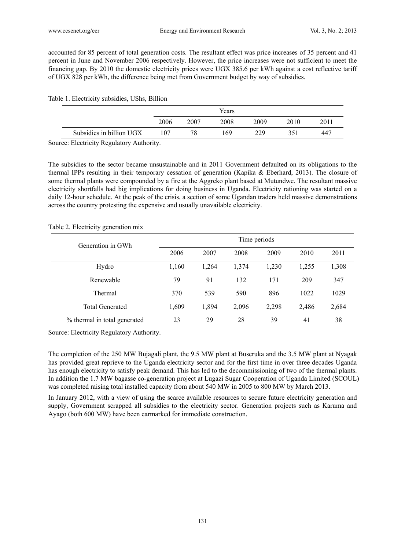accounted for 85 percent of total generation costs. The resultant effect was price increases of 35 percent and 41 percent in June and November 2006 respectively. However, the price increases were not sufficient to meet the financing gap. By 2010 the domestic electricity prices were UGX 385.6 per kWh against a cost reflective tariff of UGX 828 per kWh, the difference being met from Government budget by way of subsidies.

#### Table 1. Electricity subsidies, UShs, Billion

|                          | Years |      |      |      |      |     |  |
|--------------------------|-------|------|------|------|------|-----|--|
|                          | 2006  | 2007 | 2008 | 2009 | 2010 | 201 |  |
| Subsidies in billion UGX | 107   | 78   | 169  | 229  | 351  | 447 |  |

Source: Electricity Regulatory Authority.

The subsidies to the sector became unsustainable and in 2011 Government defaulted on its obligations to the thermal IPPs resulting in their temporary cessation of generation (Kapika & Eberhard, 2013). The closure of some thermal plants were compounded by a fire at the Aggreko plant based at Mutundwe. The resultant massive electricity shortfalls had big implications for doing business in Uganda. Electricity rationing was started on a daily 12-hour schedule. At the peak of the crisis, a section of some Ugandan traders held massive demonstrations across the country protesting the expensive and usually unavailable electricity.

# Table 2. Electricity generation mix

| Generation in GWh            | Time periods |       |       |       |       |       |  |
|------------------------------|--------------|-------|-------|-------|-------|-------|--|
|                              | 2006         | 2007  | 2008  | 2009  | 2010  | 2011  |  |
| Hydro                        | 1,160        | 1,264 | 1,374 | 1,230 | 1,255 | 1,308 |  |
| Renewable                    | 79           | 91    | 132   | 171   | 209   | 347   |  |
| Thermal                      | 370          | 539   | 590   | 896   | 1022  | 1029  |  |
| <b>Total Generated</b>       | 1,609        | 1,894 | 2,096 | 2,298 | 2,486 | 2,684 |  |
| % thermal in total generated | 23           | 29    | 28    | 39    | 41    | 38    |  |

Source: Electricity Regulatory Authority.

The completion of the 250 MW Bujagali plant, the 9.5 MW plant at Buseruka and the 3.5 MW plant at Nyagak has provided great reprieve to the Uganda electricity sector and for the first time in over three decades Uganda has enough electricity to satisfy peak demand. This has led to the decommissioning of two of the thermal plants. In addition the 1.7 MW bagasse co-generation project at Lugazi Sugar Cooperation of Uganda Limited (SCOUL) was completed raising total installed capacity from about 540 MW in 2005 to 800 MW by March 2013.

In January 2012, with a view of using the scarce available resources to secure future electricity generation and supply, Government scrapped all subsidies to the electricity sector. Generation projects such as Karuma and Ayago (both 600 MW) have been earmarked for immediate construction.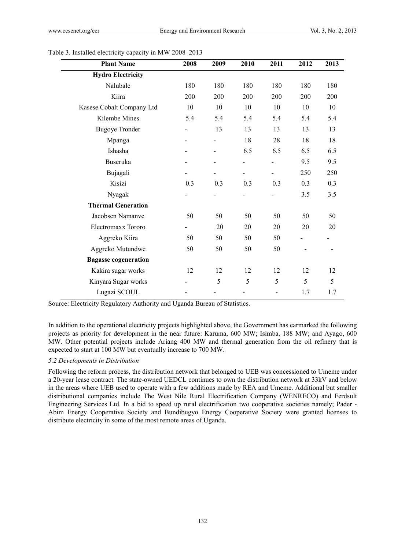| <b>Plant Name</b>           | 2008 | 2009 | 2010 | 2011                     | 2012 | 2013 |
|-----------------------------|------|------|------|--------------------------|------|------|
| <b>Hydro Electricity</b>    |      |      |      |                          |      |      |
| Nalubale                    | 180  | 180  | 180  | 180                      | 180  | 180  |
| Kiira                       | 200  | 200  | 200  | 200                      | 200  | 200  |
| Kasese Cobalt Company Ltd   | 10   | 10   | 10   | 10                       | 10   | 10   |
| Kilembe Mines               | 5.4  | 5.4  | 5.4  | 5.4                      | 5.4  | 5.4  |
| <b>Bugoye Tronder</b>       |      | 13   | 13   | 13                       | 13   | 13   |
| Mpanga                      |      | -    | 18   | 28                       | 18   | 18   |
| Ishasha                     |      | -    | 6.5  | 6.5                      | 6.5  | 6.5  |
| Buseruka                    |      |      |      |                          | 9.5  | 9.5  |
| Bujagali                    |      | -    |      | $\overline{\phantom{0}}$ | 250  | 250  |
| Kisizi                      | 0.3  | 0.3  | 0.3  | 0.3                      | 0.3  | 0.3  |
| Nyagak                      |      |      |      |                          | 3.5  | 3.5  |
| <b>Thermal Generation</b>   |      |      |      |                          |      |      |
| Jacobsen Namanve            | 50   | 50   | 50   | 50                       | 50   | 50   |
| Electromaxx Tororo          |      | 20   | 20   | 20                       | 20   | 20   |
| Aggreko Kiira               | 50   | 50   | 50   | 50                       |      |      |
| Aggreko Mutundwe            | 50   | 50   | 50   | 50                       |      |      |
| <b>Bagasse cogeneration</b> |      |      |      |                          |      |      |
| Kakira sugar works          | 12   | 12   | 12   | 12                       | 12   | 12   |
| Kinyara Sugar works         |      | 5    | 5    | 5                        | 5    | 5    |
| Lugazi SCOUL                |      |      |      |                          | 1.7  | 1.7  |

Table 3. Installed electricity capacity in MW 2008–2013

Source: Electricity Regulatory Authority and Uganda Bureau of Statistics.

In addition to the operational electricity projects highlighted above, the Government has earmarked the following projects as priority for development in the near future: Karuma, 600 MW; Isimba, 188 MW; and Ayago, 600 MW. Other potential projects include Ariang 400 MW and thermal generation from the oil refinery that is expected to start at 100 MW but eventually increase to 700 MW.

#### *5.2 Developments in Distribution*

Following the reform process, the distribution network that belonged to UEB was concessioned to Umeme under a 20-year lease contract. The state-owned UEDCL continues to own the distribution network at 33kV and below in the areas where UEB used to operate with a few additions made by REA and Umeme. Additional but smaller distributional companies include The West Nile Rural Electrification Company (WENRECO) and Ferdsult Engineering Services Ltd. In a bid to speed up rural electrification two cooperative societies namely; Pader - Abim Energy Cooperative Society and Bundibugyo Energy Cooperative Society were granted licenses to distribute electricity in some of the most remote areas of Uganda.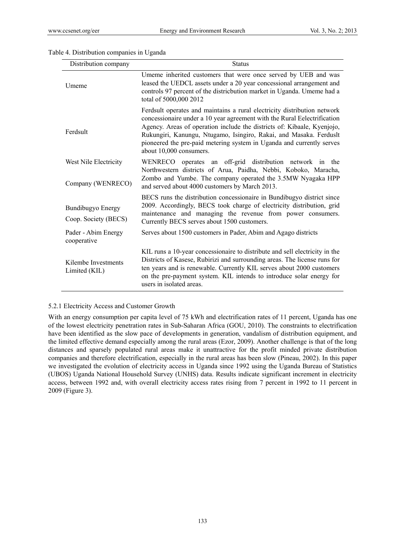| Distribution company                             | <b>Status</b>                                                                                                                                                                                                                                                                                                                                                                                             |
|--------------------------------------------------|-----------------------------------------------------------------------------------------------------------------------------------------------------------------------------------------------------------------------------------------------------------------------------------------------------------------------------------------------------------------------------------------------------------|
| Umeme                                            | Umeme inherited customers that were once served by UEB and was<br>leased the UEDCL assets under a 20 year concessional arrangement and<br>controls 97 percent of the districbution market in Uganda. Umeme had a<br>total of 5000,000 2012                                                                                                                                                                |
| Ferdsult                                         | Ferdsult operates and maintains a rural electricity distribution network<br>concessionaire under a 10 year agreement with the Rural Eelectrification<br>Agency. Areas of operation include the districts of: Kibaale, Kyenjojo,<br>Rukungiri, Kanungu, Ntugamo, Isingiro, Rakai, and Masaka. Ferduslt<br>pioneered the pre-paid metering system in Uganda and currently serves<br>about 10,000 consumers. |
| West Nile Electricity<br>Company (WENRECO)       | WENRECO<br>operates an off-grid distribution network in the<br>Northwestern districts of Arua, Paidha, Nebbi, Koboko, Maracha,<br>Zombo and Yumbe. The company operated the 3.5MW Nyagaka HPP<br>and served about 4000 customers by March 2013.                                                                                                                                                           |
| <b>Bundibugyo Energy</b><br>Coop. Society (BECS) | BECS runs the distribution concessionaire in Bundibugyo district since<br>2009. Accordingly, BECS took charge of electricity distribution, grid<br>maintenance and managing the revenue from power consumers.<br>Currently BECS serves about 1500 customers.                                                                                                                                              |
| Pader - Abim Energy<br>cooperative               | Serves about 1500 customers in Pader, Abim and Agago districts                                                                                                                                                                                                                                                                                                                                            |
| Kilembe Investments<br>Limited (KIL)             | KIL runs a 10-year concessionaire to distribute and sell electricity in the<br>Districts of Kasese, Rubirizi and surrounding areas. The license runs for<br>ten years and is renewable. Currently KIL serves about 2000 customers<br>on the pre-payment system. KIL intends to introduce solar energy for<br>users in isolated areas.                                                                     |

# Table 4. Distribution companies in Uganda

# 5.2.1 Electricity Access and Customer Growth

With an energy consumption per capita level of 75 kWh and electrification rates of 11 percent, Uganda has one of the lowest electricity penetration rates in Sub-Saharan Africa (GOU, 2010). The constraints to electrification have been identified as the slow pace of developments in generation, vandalism of distribution equipment, and the limited effective demand especially among the rural areas (Ezor, 2009). Another challenge is that of the long distances and sparsely populated rural areas make it unattractive for the profit minded private distribution companies and therefore electrification, especially in the rural areas has been slow (Pineau, 2002). In this paper we investigated the evolution of electricity access in Uganda since 1992 using the Uganda Bureau of Statistics (UBOS) Uganda National Household Survey (UNHS) data. Results indicate significant increment in electricity access, between 1992 and, with overall electricity access rates rising from 7 percent in 1992 to 11 percent in 2009 (Figure 3).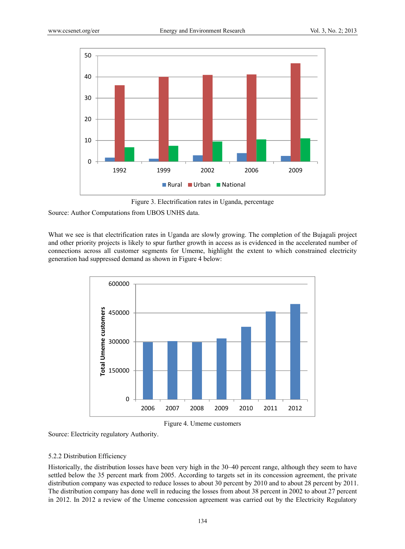

Figure 3. Electrification rates in Uganda, percentage

Source: Author Computations from UBOS UNHS data.

What we see is that electrification rates in Uganda are slowly growing. The completion of the Bujagali project and other priority projects is likely to spur further growth in access as is evidenced in the accelerated number of connections across all customer segments for Umeme, highlight the extent to which constrained electricity generation had suppressed demand as shown in Figure 4 below:





Source: Electricity regulatory Authority.

# 5.2.2 Distribution Efficiency

Historically, the distribution losses have been very high in the 30–40 percent range, although they seem to have settled below the 35 percent mark from 2005. According to targets set in its concession agreement, the private distribution company was expected to reduce losses to about 30 percent by 2010 and to about 28 percent by 2011. The distribution company has done well in reducing the losses from about 38 percent in 2002 to about 27 percent in 2012. In 2012 a review of the Umeme concession agreement was carried out by the Electricity Regulatory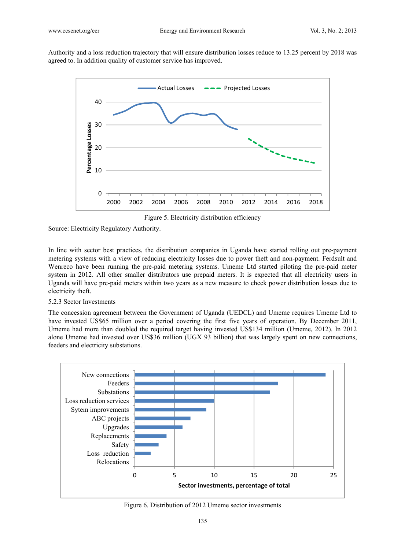Authority and a loss reduction trajectory that will ensure distribution losses reduce to 13.25 percent by 2018 was agreed to. In addition quality of customer service has improved.



Figure 5. Electricity distribution efficiency

Source: Electricity Regulatory Authority.

In line with sector best practices, the distribution companies in Uganda have started rolling out pre-payment metering systems with a view of reducing electricity losses due to power theft and non-payment. Ferdsult and Wenreco have been running the pre-paid metering systems. Umeme Ltd started piloting the pre-paid meter system in 2012. All other smaller distributors use prepaid meters. It is expected that all electricity users in Uganda will have pre-paid meters within two years as a new measure to check power distribution losses due to electricity theft.

# 5.2.3 Sector Investments

The concession agreement between the Government of Uganda (UEDCL) and Umeme requires Umeme Ltd to have invested US\$65 million over a period covering the first five years of operation. By December 2011, Umeme had more than doubled the required target having invested US\$134 million (Umeme, 2012). In 2012 alone Umeme had invested over US\$36 million (UGX 93 billion) that was largely spent on new connections, feeders and electricity substations.



Figure 6. Distribution of 2012 Umeme sector investments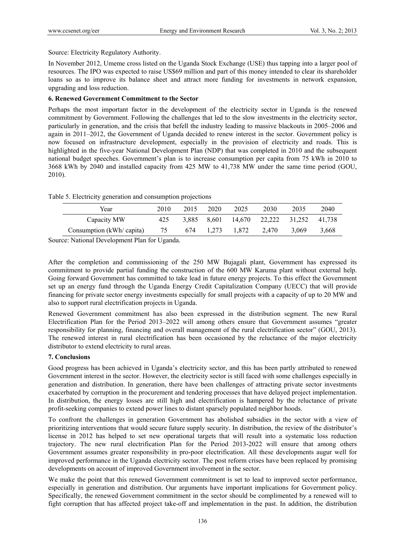Source: Electricity Regulatory Authority.

In November 2012, Umeme cross listed on the Uganda Stock Exchange (USE) thus tapping into a larger pool of resources. The IPO was expected to raise US\$69 million and part of this money intended to clear its shareholder loans so as to improve its balance sheet and attract more funding for investments in network expansion, upgrading and loss reduction.

# **6. Renewed Government Commitment to the Sector**

Perhaps the most important factor in the development of the electricity sector in Uganda is the renewed commitment by Government. Following the challenges that led to the slow investments in the electricity sector, particularly in generation, and the crisis that befell the industry leading to massive blackouts in 2005–2006 and again in 2011–2012, the Government of Uganda decided to renew interest in the sector. Government policy is now focused on infrastructure development, especially in the provision of electricity and roads. This is highlighted in the five-year National Development Plan (NDP) that was completed in 2010 and the subsequent national budget speeches. Government's plan is to increase consumption per capita from 75 kWh in 2010 to 3668 kWh by 2040 and installed capacity from 425 MW to 41,738 MW under the same time period (GOU, 2010).

Table 5. Electricity generation and consumption projections

| Year                     | 2010 | 2015 | 2020  | 2025        | 2030                                    | 2035  | 2040  |
|--------------------------|------|------|-------|-------------|-----------------------------------------|-------|-------|
| Capacity MW              | 425  |      |       |             | 3,885 8,601 14,670 22,222 31,252 41,738 |       |       |
| Consumption (kWh/capita) | 75   | 674  | 1.273 | 1,872 2,470 |                                         | 3.069 | 3.668 |

Source: National Development Plan for Uganda.

After the completion and commissioning of the 250 MW Bujagali plant, Government has expressed its commitment to provide partial funding the construction of the 600 MW Karuma plant without external help. Going forward Government has committed to take lead in future energy projects. To this effect the Government set up an energy fund through the Uganda Energy Credit Capitalization Company (UECC) that will provide financing for private sector energy investments especially for small projects with a capacity of up to 20 MW and also to support rural electrification projects in Uganda.

Renewed Government commitment has also been expressed in the distribution segment. The new Rural Electrification Plan for the Period 2013–2022 will among others ensure that Government assumes "greater responsibility for planning, financing and overall management of the rural electrification sector" (GOU, 2013). The renewed interest in rural electrification has been occasioned by the reluctance of the major electricity distributor to extend electricity to rural areas.

# **7. Conclusions**

Good progress has been achieved in Uganda's electricity sector, and this has been partly attributed to renewed Government interest in the sector. However, the electricity sector is still faced with some challenges especially in generation and distribution. In generation, there have been challenges of attracting private sector investments exacerbated by corruption in the procurement and tendering processes that have delayed project implementation. In distribution, the energy losses are still high and electrification is hampered by the reluctance of private profit-seeking companies to extend power lines to distant sparsely populated neighbor hoods.

To confront the challenges in generation Government has abolished subsidies in the sector with a view of prioritizing interventions that would secure future supply security. In distribution, the review of the distributor's license in 2012 has helped to set new operational targets that will result into a systematic loss reduction trajectory. The new rural electrification Plan for the Period 2013-2022 will ensure that among others Government assumes greater responsibility in pro-poor electrification. All these developments augur well for improved performance in the Uganda electricity sector. The post reform crises have been replaced by promising developments on account of improved Government involvement in the sector.

We make the point that this renewed Government commitment is set to lead to improved sector performance, especially in generation and distribution. Our arguments have important implications for Government policy. Specifically, the renewed Government commitment in the sector should be complimented by a renewed will to fight corruption that has affected project take-off and implementation in the past. In addition, the distribution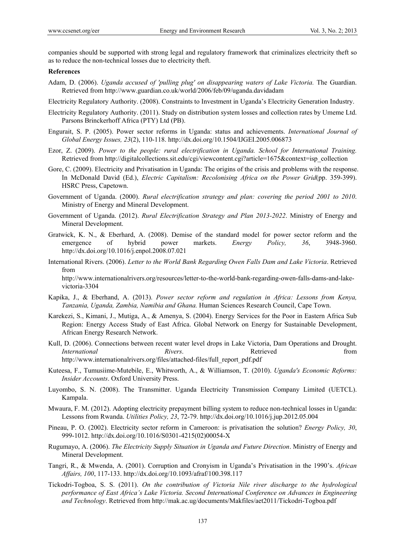victoria-3304

companies should be supported with strong legal and regulatory framework that criminalizes electricity theft so as to reduce the non-technical losses due to electricity theft.

#### **References**

- Adam, D. (2006). *Uganda accused of 'pulling plug' on disappearing waters of Lake Victoria.* The Guardian. Retrieved from http://www.guardian.co.uk/world/2006/feb/09/uganda.davidadam
- Electricity Regulatory Authority. (2008). Constraints to Investment in Uganda's Electricity Generation Industry.
- Electricity Regulatory Authority. (2011). Study on distribution system losses and collection rates by Umeme Ltd. Parsons Brinckerhoff Africa (PTY) Ltd (PB).
- Engurait, S. P. (2005). Power sector reforms in Uganda: status and achievements. *International Journal of Global Energy Issues, 23*(2), 110-118. http://dx.doi.org/10.1504/IJGEI.2005.006873
- Ezor, Z. (2009). *Power to the people: rural electrification in Uganda. School for International Training.* Retrieved from http://digitalcollections.sit.edu/cgi/viewcontent.cgi?article=1675&context=isp\_collection
- Gore, C. (2009). Electricity and Privatisation in Uganda: The origins of the crisis and problems with the response. In McDonald David (Ed.), *Electric Capitalism: Recolonising Africa on the Power Grid*(pp. 359-399). HSRC Press, Capetown.
- Government of Uganda. (2000). *Rural electrification strategy and plan: covering the period 2001 to 2010*. Ministry of Energy and Mineral Development.
- Government of Uganda. (2012). *Rural Electrification Strategy and Plan 2013-2022*. Ministry of Energy and Mineral Development.
- Gratwick, K. N., & Eberhard, A. (2008). Demise of the standard model for power sector reform and the emergence of hybrid power markets. *Energy Policy, 36*, 3948-3960. http://dx.doi.org/10.1016/j.enpol.2008.07.021
- International Rivers. (2006). *Letter to the World Bank Regarding Owen Falls Dam and Lake Victoria*. Retrieved from http://www.internationalrivers.org/resources/letter-to-the-world-bank-regarding-owen-falls-dams-and-lake-
- Kapika, J., & Eberhand, A. (2013). *Power sector reform and regulation in Africa: Lessons from Kenya, Tanzania, Uganda, Zambia, Namibia and Ghana.* Human Sciences Research Council, Cape Town.
- Karekezi, S., Kimani, J., Mutiga, A., & Amenya, S. (2004). Energy Services for the Poor in Eastern Africa Sub Region: Energy Access Study of East Africa. Global Network on Energy for Sustainable Development, African Energy Research Network.
- Kull, D. (2006). Connections between recent water level drops in Lake Victoria, Dam Operations and Drought. *International* **Rivers**. **Rivers Retrieved** *Retrieved from* http://www.internationalrivers.org/files/attached-files/full\_report\_pdf.pdf
- Kuteesa, F., Tumusiime-Mutebile, E., Whitworth, A., & Williamson, T. (2010). *Uganda's Economic Reforms: Insider Accounts*. Oxford University Press.
- Luyombo, S. N. (2008). The Transmitter. Uganda Electricity Transmission Company Limited (UETCL). Kampala.
- Mwaura, F. M. (2012). Adopting electricity prepayment billing system to reduce non-technical losses in Uganda: Lessons from Rwanda. *Utilities Policy, 23*, 72-79. http://dx.doi.org/10.1016/j.jup.2012.05.004
- Pineau, P. O. (2002). Electricity sector reform in Cameroon: is privatisation the solution? *Energy Policy, 30*, 999-1012. http://dx.doi.org/10.1016/S0301-4215(02)00054-X
- Rugumayo, A. (2006). *The Electricity Supply Situation in Uganda and Future Direction*. Ministry of Energy and Mineral Development.
- Tangri, R., & Mwenda, A. (2001). Corruption and Cronyism in Uganda's Privatisation in the 1990's. *African Affairs, 100*, 117-133. http://dx.doi.org/10.1093/afraf/100.398.117
- Tickodri-Togboa, S. S. (2011). *On the contribution of Victoria Nile river discharge to the hydrological performance of East Africa's Lake Victoria. Second International Conference on Advances in Engineering and Technology*. Retrieved from http://mak.ac.ug/documents/Makfiles/aet2011/Tickodri-Togboa.pdf